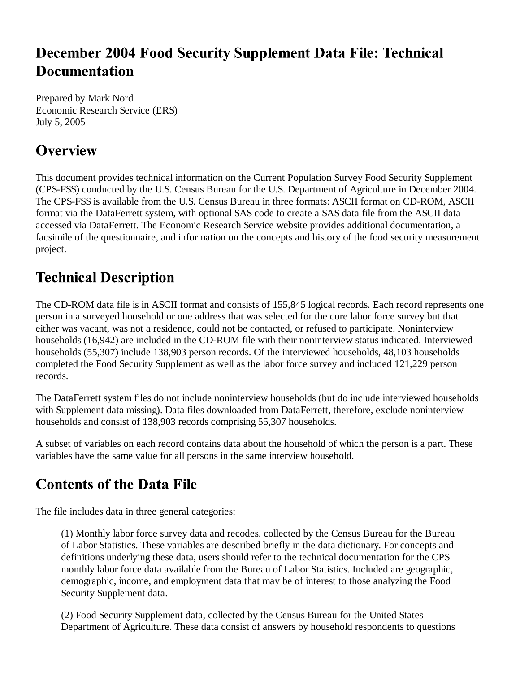## **December 2004 Food Security Supplement Data File: Technical Documentation**

Prepared by Mark Nord Economic Research Service (ERS) July 5, 2005

## **Overview**

This document provides technical information on the Current Population Survey Food Security Supplement (CPS-FSS) conducted by the U.S. Census Bureau for the U.S. Department of Agriculture in December 2004. The CPS-FSS is available from the U.S. Census Bureau in three formats: ASCII format on CD-ROM, ASCII format via the DataFerrett system, with optional SAS code to create a SAS data file from the ASCII data accessed via DataFerrett. The Economic Research Service website provides additional documentation, a facsimile of the questionnaire, and information on the concepts and history of the food security measurement project.

## **Technical Description**

The CD-ROM data file is in ASCII format and consists of 155,845 logical records. Each record represents one person in a surveyed household or one address that was selected for the core labor force survey but that either was vacant, was not a residence, could not be contacted, or refused to participate. Noninterview households (16,942) are included in the CD-ROM file with their noninterview status indicated. Interviewed households (55,307) include 138,903 person records. Of the interviewed households, 48,103 households completed the Food Security Supplement as well as the labor force survey and included 121,229 person records.

The DataFerrett system files do not include noninterview households (but do include interviewed households with Supplement data missing). Data files downloaded from DataFerrett, therefore, exclude noninterview households and consist of 138,903 records comprising 55,307 households.

A subset of variables on each record contains data about the household of which the person is a part. These variables have the same value for all persons in the same interview household.

## **Contents of the Data File**

The file includes data in three general categories:

(1) Monthly labor force survey data and recodes, collected by the Census Bureau for the Bureau of Labor Statistics. These variables are described briefly in the data dictionary. For concepts and definitions underlying these data, users should refer to the technical documentation for the CPS monthly labor force data available from the Bureau of Labor Statistics. Included are geographic, demographic, income, and employment data that may be of interest to those analyzing the Food Security Supplement data.

(2) Food Security Supplement data, collected by the Census Bureau for the United States Department of Agriculture. These data consist of answers by household respondents to questions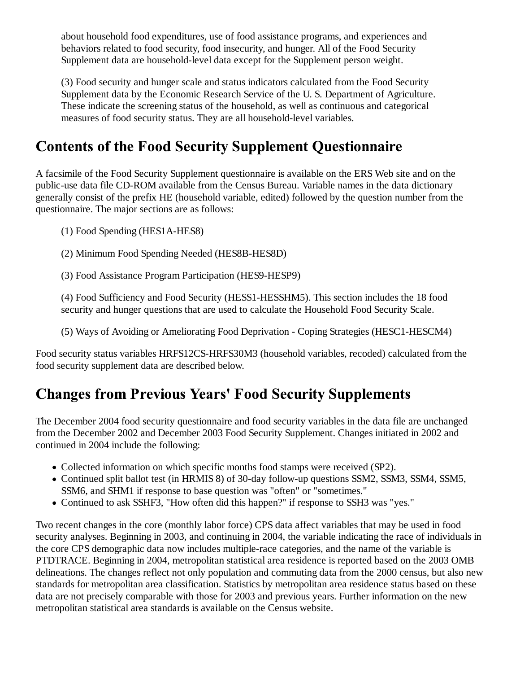about household food expenditures, use of food assistance programs, and experiences and behaviors related to food security, food insecurity, and hunger. All of the Food Security Supplement data are household-level data except for the Supplement person weight.

(3) Food security and hunger scale and status indicators calculated from the Food Security Supplement data by the Economic Research Service of the U. S. Department of Agriculture. These indicate the screening status of the household, as well as continuous and categorical measures of food security status. They are all household-level variables.

## **Contents of the Food Security Supplement Questionnaire**

A facsimile of the Food Security Supplement questionnaire is available on the ERS Web site and on the public-use data file CD-ROM available from the Census Bureau. Variable names in the data dictionary generally consist of the prefix HE (household variable, edited) followed by the question number from the questionnaire. The major sections are as follows:

(1) Food Spending (HES1A-HES8)

(2) Minimum Food Spending Needed (HES8B-HES8D)

(3) Food Assistance Program Participation (HES9-HESP9)

(4) Food Sufficiency and Food Security (HESS1-HESSHM5). This section includes the 18 food security and hunger questions that are used to calculate the Household Food Security Scale.

(5) Ways of Avoiding or Ameliorating Food Deprivation - Coping Strategies (HESC1-HESCM4)

Food security status variables HRFS12CS-HRFS30M3 (household variables, recoded) calculated from the food security supplement data are described below.

#### **Changes from Previous Years' Food Security Supplements**

The December 2004 food security questionnaire and food security variables in the data file are unchanged from the December 2002 and December 2003 Food Security Supplement. Changes initiated in 2002 and continued in 2004 include the following:

- Collected information on which specific months food stamps were received (SP2).
- Continued split ballot test (in HRMIS 8) of 30-day follow-up questions SSM2, SSM3, SSM4, SSM5, SSM6, and SHM1 if response to base question was "often" or "sometimes."
- Continued to ask SSHF3, "How often did this happen?" if response to SSH3 was "yes."

Two recent changes in the core (monthly labor force) CPS data affect variables that may be used in food security analyses. Beginning in 2003, and continuing in 2004, the variable indicating the race of individuals in the core CPS demographic data now includes multiple-race categories, and the name of the variable is PTDTRACE. Beginning in 2004, metropolitan statistical area residence is reported based on the 2003 OMB delineations. The changes reflect not only population and commuting data from the 2000 census, but also new standards for metropolitan area classification. Statistics by metropolitan area residence status based on these data are not precisely comparable with those for 2003 and previous years. Further information on the new metropolitan statistical area standards is available on the Census website.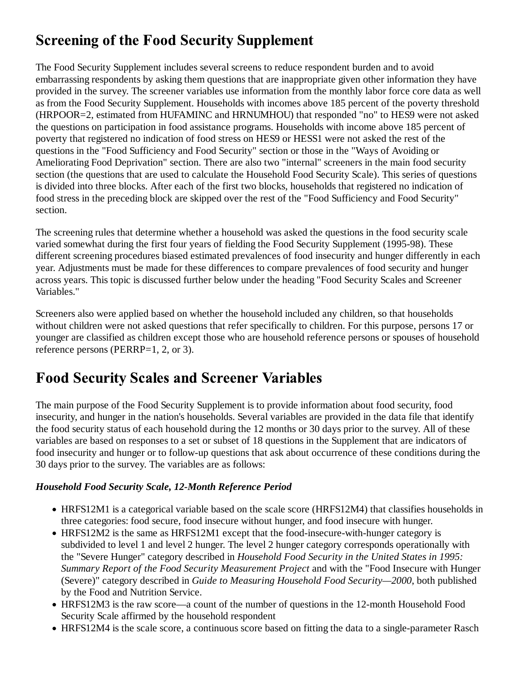# **Screening of the Food Security Supplement**

The Food Security Supplement includes several screens to reduce respondent burden and to avoid embarrassing respondents by asking them questions that are inappropriate given other information they have provided in the survey. The screener variables use information from the monthly labor force core data as well as from the Food Security Supplement. Households with incomes above 185 percent of the poverty threshold (HRPOOR=2, estimated from HUFAMINC and HRNUMHOU) that responded "no" to HES9 were not asked the questions on participation in food assistance programs. Households with income above 185 percent of poverty that registered no indication of food stress on HES9 or HESS1 were not asked the rest of the questions in the "Food Sufficiency and Food Security" section or those in the "Ways of Avoiding or Ameliorating Food Deprivation" section. There are also two "internal" screeners in the main food security section (the questions that are used to calculate the Household Food Security Scale). This series of questions is divided into three blocks. After each of the first two blocks, households that registered no indication of food stress in the preceding block are skipped over the rest of the "Food Sufficiency and Food Security" section.

The screening rules that determine whether a household was asked the questions in the food security scale varied somewhat during the first four years of fielding the Food Security Supplement (1995-98). These different screening procedures biased estimated prevalences of food insecurity and hunger differently in each year. Adjustments must be made for these differences to compare prevalences of food security and hunger across years. This topic is discussed further below under the heading "Food Security Scales and Screener Variables."

Screeners also were applied based on whether the household included any children, so that households without children were not asked questions that refer specifically to children. For this purpose, persons 17 or younger are classified as children except those who are household reference persons or spouses of household reference persons (PERRP=1, 2, or 3).

## **Food Security Scales and Screener Variables**

The main purpose of the Food Security Supplement is to provide information about food security, food insecurity, and hunger in the nation's households. Several variables are provided in the data file that identify the food security status of each household during the 12 months or 30 days prior to the survey. All of these variables are based on responses to a set or subset of 18 questions in the Supplement that are indicators of food insecurity and hunger or to follow-up questions that ask about occurrence of these conditions during the 30 days prior to the survey. The variables are as follows:

#### *Household Food Security Scale, 12-Month Reference Period*

- HRFS12M1 is a categorical variable based on the scale score (HRFS12M4) that classifies households in three categories: food secure, food insecure without hunger, and food insecure with hunger.
- HRFS12M2 is the same as HRFS12M1 except that the food-insecure-with-hunger category is subdivided to level 1 and level 2 hunger. The level 2 hunger category corresponds operationally with the "Severe Hunger" category described in *Household Food Security in the United States in 1995: Summary Report of the Food Security Measurement Project* and with the "Food Insecure with Hunger (Severe)" category described in *Guide to Measuring Household Food Security—2000*, both published by the Food and Nutrition Service.
- HRFS12M3 is the raw score—a count of the number of questions in the 12-month Household Food Security Scale affirmed by the household respondent
- HRFS12M4 is the scale score, a continuous score based on fitting the data to a single-parameter Rasch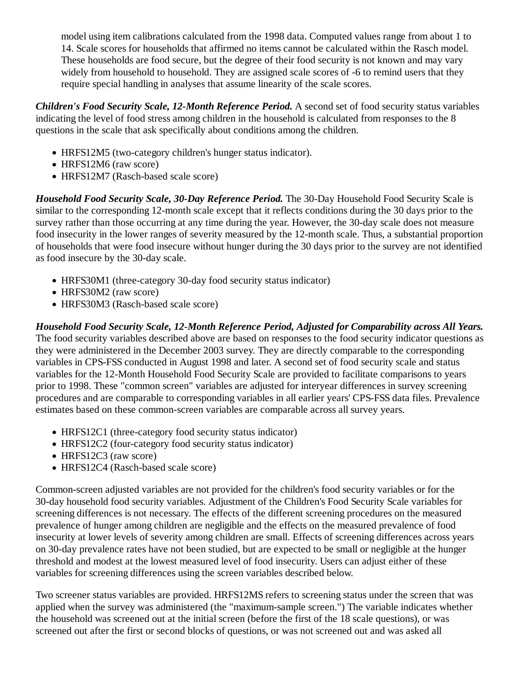model using item calibrations calculated from the 1998 data. Computed values range from about 1 to 14. Scale scores for households that affirmed no items cannot be calculated within the Rasch model. These households are food secure, but the degree of their food security is not known and may vary widely from household to household. They are assigned scale scores of -6 to remind users that they require special handling in analyses that assume linearity of the scale scores.

*Children's Food Security Scale, 12-Month Reference Period.* A second set of food security status variables indicating the level of food stress among children in the household is calculated from responses to the 8 questions in the scale that ask specifically about conditions among the children.

- HRFS12M5 (two-category children's hunger status indicator).
- HRFS12M6 (raw score)
- HRFS12M7 (Rasch-based scale score)

*Household Food Security Scale, 30-Day Reference Period.* The 30-Day Household Food Security Scale is similar to the corresponding 12-month scale except that it reflects conditions during the 30 days prior to the survey rather than those occurring at any time during the year. However, the 30-day scale does not measure food insecurity in the lower ranges of severity measured by the 12-month scale. Thus, a substantial proportion of households that were food insecure without hunger during the 30 days prior to the survey are not identified as food insecure by the 30-day scale.

- HRFS30M1 (three-category 30-day food security status indicator)
- HRFS30M2 (raw score)
- HRFS30M3 (Rasch-based scale score)

*Household Food Security Scale, 12-Month Reference Period, Adjusted for Comparability across All Years.* The food security variables described above are based on responses to the food security indicator questions as they were administered in the December 2003 survey. They are directly comparable to the corresponding variables in CPS-FSS conducted in August 1998 and later. A second set of food security scale and status variables for the 12-Month Household Food Security Scale are provided to facilitate comparisons to years prior to 1998. These "common screen" variables are adjusted for interyear differences in survey screening procedures and are comparable to corresponding variables in all earlier years' CPS-FSS data files. Prevalence estimates based on these common-screen variables are comparable across all survey years.

- HRFS12C1 (three-category food security status indicator)
- HRFS12C2 (four-category food security status indicator)
- HRFS12C3 (raw score)
- HRFS12C4 (Rasch-based scale score)

Common-screen adjusted variables are not provided for the children's food security variables or for the 30-day household food security variables. Adjustment of the Children's Food Security Scale variables for screening differences is not necessary. The effects of the different screening procedures on the measured prevalence of hunger among children are negligible and the effects on the measured prevalence of food insecurity at lower levels of severity among children are small. Effects of screening differences across years on 30-day prevalence rates have not been studied, but are expected to be small or negligible at the hunger threshold and modest at the lowest measured level of food insecurity. Users can adjust either of these variables for screening differences using the screen variables described below.

Two screener status variables are provided. HRFS12MS refers to screening status under the screen that was applied when the survey was administered (the "maximum-sample screen.") The variable indicates whether the household was screened out at the initial screen (before the first of the 18 scale questions), or was screened out after the first or second blocks of questions, or was not screened out and was asked all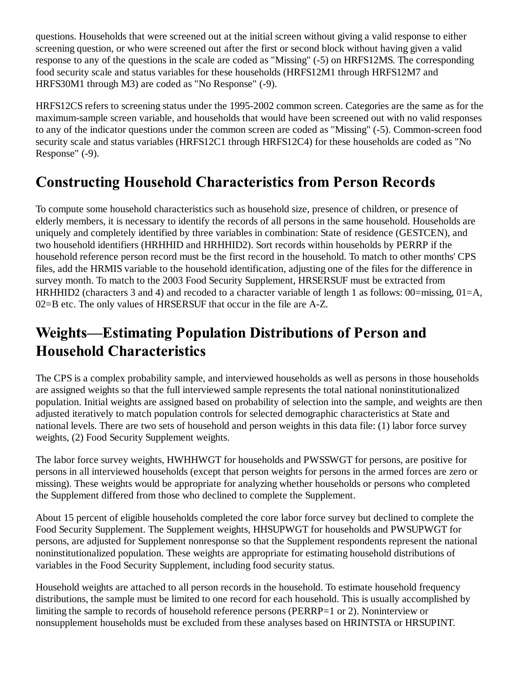questions. Households that were screened out at the initial screen without giving a valid response to either screening question, or who were screened out after the first or second block without having given a valid response to any of the questions in the scale are coded as "Missing" (-5) on HRFS12MS. The corresponding food security scale and status variables for these households (HRFS12M1 through HRFS12M7 and HRFS30M1 through M3) are coded as "No Response" (-9).

HRFS12CS refers to screening status under the 1995-2002 common screen. Categories are the same as for the maximum-sample screen variable, and households that would have been screened out with no valid responses to any of the indicator questions under the common screen are coded as "Missing" (-5). Common-screen food security scale and status variables (HRFS12C1 through HRFS12C4) for these households are coded as "No Response" (-9).

# **Constructing Household Characteristics from Person Records**

To compute some household characteristics such as household size, presence of children, or presence of elderly members, it is necessary to identify the records of all persons in the same household. Households are uniquely and completely identified by three variables in combination: State of residence (GESTCEN), and two household identifiers (HRHHID and HRHHID2). Sort records within households by PERRP if the household reference person record must be the first record in the household. To match to other months' CPS files, add the HRMIS variable to the household identification, adjusting one of the files for the difference in survey month. To match to the 2003 Food Security Supplement, HRSERSUF must be extracted from HRHHID2 (characters 3 and 4) and recoded to a character variable of length 1 as follows:  $00=$ missing,  $01=A$ , 02=B etc. The only values of HRSERSUF that occur in the file are A-Z.

## **Weights—Estimating Population Distributions of Person and Household Characteristics**

The CPS is a complex probability sample, and interviewed households as well as persons in those households are assigned weights so that the full interviewed sample represents the total national noninstitutionalized population. Initial weights are assigned based on probability of selection into the sample, and weights are then adjusted iteratively to match population controls for selected demographic characteristics at State and national levels. There are two sets of household and person weights in this data file: (1) labor force survey weights, (2) Food Security Supplement weights.

The labor force survey weights, HWHHWGT for households and PWSSWGT for persons, are positive for persons in all interviewed households (except that person weights for persons in the armed forces are zero or missing). These weights would be appropriate for analyzing whether households or persons who completed the Supplement differed from those who declined to complete the Supplement.

About 15 percent of eligible households completed the core labor force survey but declined to complete the Food Security Supplement. The Supplement weights, HHSUPWGT for households and PWSUPWGT for persons, are adjusted for Supplement nonresponse so that the Supplement respondents represent the national noninstitutionalized population. These weights are appropriate for estimating household distributions of variables in the Food Security Supplement, including food security status.

Household weights are attached to all person records in the household. To estimate household frequency distributions, the sample must be limited to one record for each household. This is usually accomplished by limiting the sample to records of household reference persons (PERRP=1 or 2). Noninterview or nonsupplement households must be excluded from these analyses based on HRINTSTA or HRSUPINT.